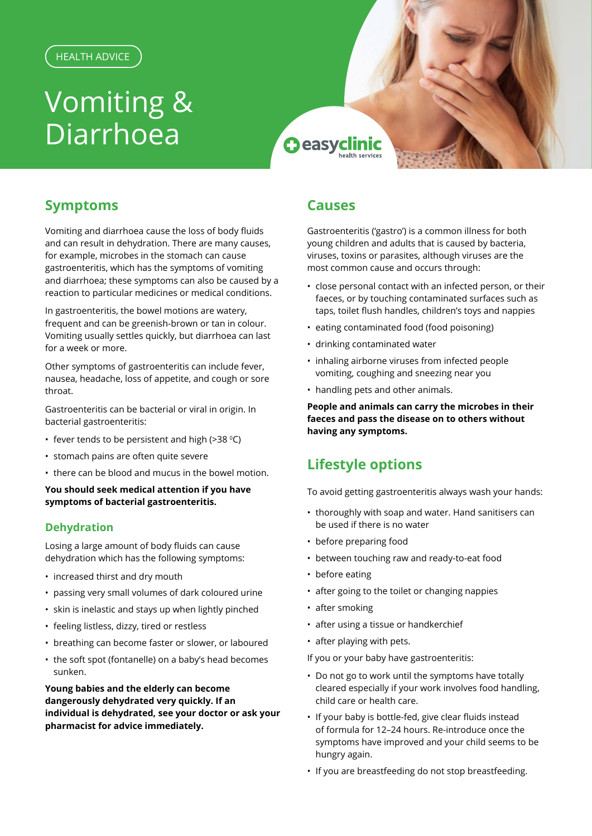# Vomiting & Diarrhoea

**O** easyclinic

## **Symptoms**

Vomiting and diarrhoea cause the loss of body fluids and can result in dehydration. There are many causes, for example, microbes in the stomach can cause gastroenteritis, which has the symptoms of vomiting and diarrhoea; these symptoms can also be caused by a reaction to particular medicines or medical conditions.

In gastroenteritis, the bowel motions are watery, frequent and can be greenish-brown or tan in colour. Vomiting usually settles quickly, but diarrhoea can last for a week or more.

Other symptoms of gastroenteritis can include fever, nausea, headache, loss of appetite, and cough or sore throat.

Gastroenteritis can be bacterial or viral in origin. In bacterial gastroenteritis:

- fever tends to be persistent and high (>38  $°C$ )
- stomach pains are often quite severe
- there can be blood and mucus in the bowel motion.

**You should seek medical attention if you have symptoms of bacterial gastroenteritis.**

#### **Dehydration**

Losing a large amount of body fluids can cause dehydration which has the following symptoms:

- increased thirst and dry mouth
- passing very small volumes of dark coloured urine
- skin is inelastic and stays up when lightly pinched
- feeling listless, dizzy, tired or restless
- breathing can become faster or slower, or laboured
- the soft spot (fontanelle) on a baby's head becomes sunken.

**Young babies and the elderly can become dangerously dehydrated very quickly. If an individual is dehydrated, see your doctor or ask your pharmacist for advice immediately.** 

## **Causes**

Gastroenteritis ('gastro') is a common illness for both young children and adults that is caused by bacteria, viruses, toxins or parasites, although viruses are the most common cause and occurs through:

- close personal contact with an infected person, or their faeces, or by touching contaminated surfaces such as taps, toilet flush handles, children's toys and nappies
- eating contaminated food (food poisoning)
- drinking contaminated water
- inhaling airborne viruses from infected people vomiting, coughing and sneezing near you
- handling pets and other animals.

**People and animals can carry the microbes in their faeces and pass the disease on to others without having any symptoms.**

## **Lifestyle options**

To avoid getting gastroenteritis always wash your hands:

- thoroughly with soap and water. Hand sanitisers can be used if there is no water
- before preparing food
- between touching raw and ready-to-eat food
- before eating
- after going to the toilet or changing nappies
- after smoking
- after using a tissue or handkerchief
- after playing with pets.
- If you or your baby have gastroenteritis:
- Do not go to work until the symptoms have totally cleared especially if your work involves food handling, child care or health care.
- If your baby is bottle-fed, give clear fluids instead of formula for 12–24 hours. Re-introduce once the symptoms have improved and your child seems to be hungry again.
- If you are breastfeeding do not stop breastfeeding.